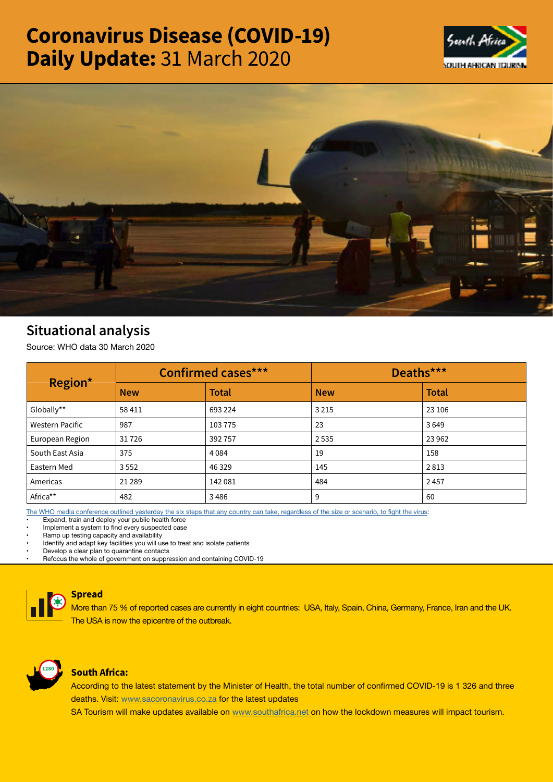# Coronavirus Disease (COVID-19) Daily Update: 31 March 2020





# Situational analysis

Source: WHO data 30 March 2020

| Region*                | <b>Confirmed cases***</b> |              | Deaths***  |              |
|------------------------|---------------------------|--------------|------------|--------------|
|                        | <b>New</b>                | <b>Total</b> | <b>New</b> | <b>Total</b> |
| Globally**             | 58 411                    | 693 224      | 3 2 1 5    | 23 106       |
| <b>Western Pacific</b> | 987                       | 103775       | 23         | 3649         |
| European Region        | 31726                     | 392757       | 2535       | 23 9 62      |
| South East Asia        | 375                       | 4 0 8 4      | 19         | 158          |
| Eastern Med            | 3552                      | 46 3 29      | 145        | 2813         |
| Americas               | 21 2 8 9                  | 142081       | 484        | 2457         |
| Africa**               | 482                       | 3486         | 9          | 60           |

[The WHO media conference outlined yesterday the six steps that any country can take, regardless of the size or scenario, to fight the virus](https://t.co/hO7zmZV6m2?amp=1):

Expand, train and deploy your public health force

Implement a system to find every suspected case

Ramp up testing capacity and availability

Identify and adapt key facilities you will use to treat and isolate patients

• Develop a clear plan to quarantine contacts

• Refocus the whole of government on suppression and containing COVID-19



## Spread

More than 75 % of reported cases are currently in eight countries: USA, Italy, Spain, China, Germany, France, Iran and the UK. The USA is now the epicentre of the outbreak.



### South Africa:

According to the latest statement by the Minister of Health, the total number of confirmed COVID-19 is 1 326 and three deaths. Visit: [www.sacoronavirus.co.za](http://www.sacoronavirus.co.za ) for the latest updates

SA Tourism will make updates available on [www.southafrica.net o](http://www.southafrica.net )n how the lockdown measures will impact tourism.